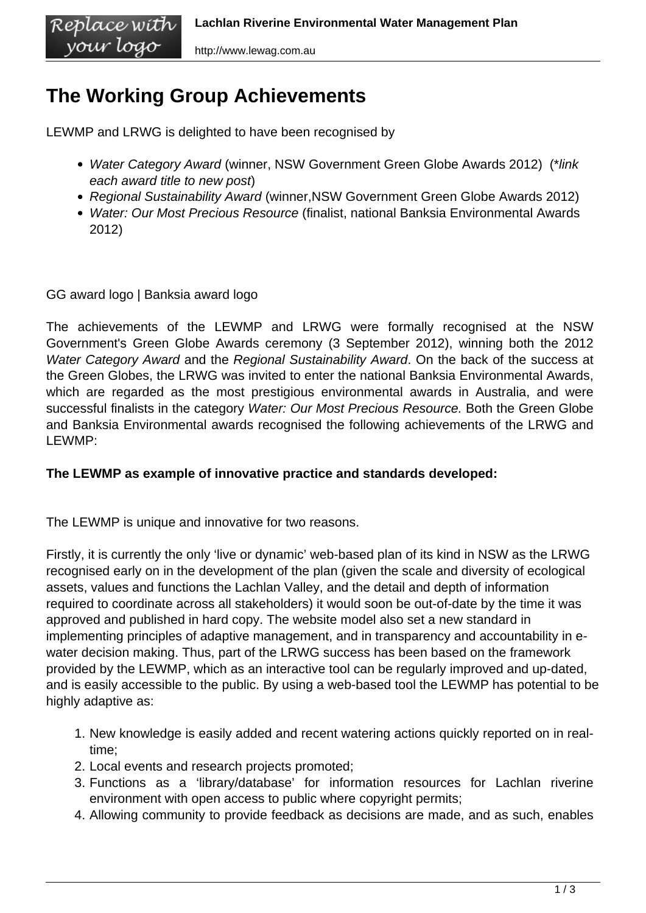## **The Working Group Achievements**

LEWMP and LRWG is delighted to have been recognised by

- Water Category Award (winner, NSW Government Green Globe Awards 2012) (\*link each award title to new post)
- Regional Sustainability Award (winner, NSW Government Green Globe Awards 2012)
- Water: Our Most Precious Resource (finalist, national Banksia Environmental Awards 2012)

GG award logo | Banksia award logo

your logo

The achievements of the LEWMP and LRWG were formally recognised at the NSW Government's Green Globe Awards ceremony (3 September 2012), winning both the 2012 Water Category Award and the Regional Sustainability Award. On the back of the success at the Green Globes, the LRWG was invited to enter the national Banksia Environmental Awards, which are regarded as the most prestigious environmental awards in Australia, and were successful finalists in the category Water: Our Most Precious Resource. Both the Green Globe and Banksia Environmental awards recognised the following achievements of the LRWG and LEWMP:

## **The LEWMP as example of innovative practice and standards developed:**

The LEWMP is unique and innovative for two reasons.

Firstly, it is currently the only 'live or dynamic' web-based plan of its kind in NSW as the LRWG recognised early on in the development of the plan (given the scale and diversity of ecological assets, values and functions the Lachlan Valley, and the detail and depth of information required to coordinate across all stakeholders) it would soon be out-of-date by the time it was approved and published in hard copy. The website model also set a new standard in implementing principles of adaptive management, and in transparency and accountability in ewater decision making. Thus, part of the LRWG success has been based on the framework provided by the LEWMP, which as an interactive tool can be regularly improved and up-dated, and is easily accessible to the public. By using a web-based tool the LEWMP has potential to be highly adaptive as:

- 1. New knowledge is easily added and recent watering actions quickly reported on in realtime;
- 2. Local events and research projects promoted;
- 3. Functions as a 'library/database' for information resources for Lachlan riverine environment with open access to public where copyright permits;
- 4. Allowing community to provide feedback as decisions are made, and as such, enables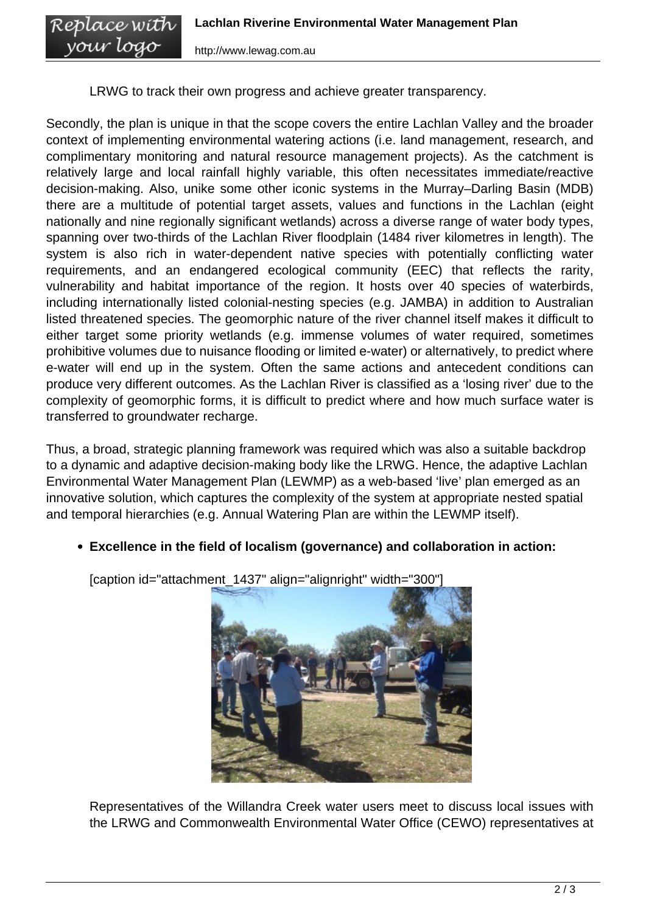LRWG to track their own progress and achieve greater transparency.

Secondly, the plan is unique in that the scope covers the entire Lachlan Valley and the broader context of implementing environmental watering actions (i.e. land management, research, and complimentary monitoring and natural resource management projects). As the catchment is relatively large and local rainfall highly variable, this often necessitates immediate/reactive decision-making. Also, unike some other iconic systems in the Murray–Darling Basin (MDB) there are a multitude of potential target assets, values and functions in the Lachlan (eight nationally and nine regionally significant wetlands) across a diverse range of water body types, spanning over two-thirds of the Lachlan River floodplain (1484 river kilometres in length). The system is also rich in water-dependent native species with potentially conflicting water requirements, and an endangered ecological community (EEC) that reflects the rarity, vulnerability and habitat importance of the region. It hosts over 40 species of waterbirds, including internationally listed colonial-nesting species (e.g. JAMBA) in addition to Australian listed threatened species. The geomorphic nature of the river channel itself makes it difficult to either target some priority wetlands (e.g. immense volumes of water required, sometimes prohibitive volumes due to nuisance flooding or limited e-water) or alternatively, to predict where e-water will end up in the system. Often the same actions and antecedent conditions can produce very different outcomes. As the Lachlan River is classified as a 'losing river' due to the complexity of geomorphic forms, it is difficult to predict where and how much surface water is transferred to groundwater recharge.

Thus, a broad, strategic planning framework was required which was also a suitable backdrop to a dynamic and adaptive decision-making body like the LRWG. Hence, the adaptive Lachlan Environmental Water Management Plan (LEWMP) as a web-based 'live' plan emerged as an innovative solution, which captures the complexity of the system at appropriate nested spatial and temporal hierarchies (e.g. Annual Watering Plan are within the LEWMP itself).

**Excellence in the field of localism (governance) and collaboration in action:** 

[caption id="attachment\_1437" align="alignright" width="300"]

Representatives of the Willandra Creek water users meet to discuss local issues with the LRWG and Commonwealth Environmental Water Office (CEWO) representatives at